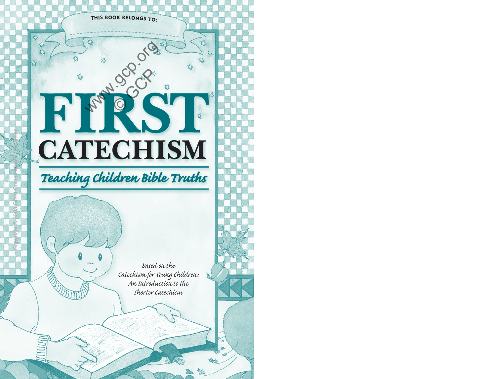

**Manuscription** 

73

# **FIRST CATECHISM**

# *Teaching Children Bible Truths*

Copyright © 2003 Great Commission Publications

A

*Based on the Catechism for Young Children: An Introduction to the Shorter Catechism*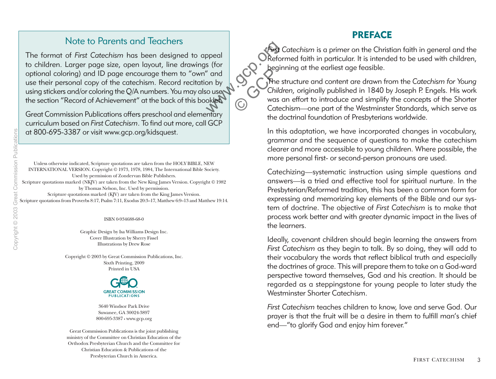#### Note to Parents and Teachers

The format of *First Catechism* has been designed to appeal to children. Larger page size, open layout, line drawings (for optional coloring) and ID page encourage them to "own" and use their personal copy of the catechism. Record recitation by using stickers and/or coloring the Q/A numbers. You may also use the section "Record of Achievement" at the back of this booklet. ppeal<br>
s (for<br>
" and<br>
" on by<br>
to use the s<br>
oklet Contact Cated<br>
Cated Contact Cated<br>
Cated Cated Cated Cated<br>
Cated Cated Cated Cated Cated Cated Cated Cated Cated Cated Cated Cated Cated Cated Cated Cated Cated Cated Ca

Great Commission Publications offers preschool and elementary curriculum based on *First Catechism*. To find out more, call GCP at 800-695-3387 or visit www.gcp.org/kidsquest.

Unless otherwise indicated, Scripture quotations are taken from the HOLY BIBLE, NEW INTERNATIONAL VERSION. Copyright © 1973, 1978, 1984, The International Bible Society. Used by permission of Zondervan Bible Publishers. Scripture quotations marked (NKJV) are taken from the New King James Version. Copyright © 1982 by Thomas Nelson, Inc. Used by permission. Scripture quotations marked (KJV) are taken from the King James Version. Scripture quotations from Proverbs 8:17, Psalm 7:11, Exodus 20:3–17, Matthew 6:9–13 and Matthew 19:14.

ISBN 0-934688-68-0

Graphic Design by Isa Williams Design Inc. Cover Illustration by Sherry Fissel Illustrations by Drew Rose

Copyright © 2003 by Great Commission Publications, Inc. Sixth Printing, 2009 Printed in USA



3640 Windsor Park Drive Suwanee, GA 30024-3897 800-695-3387 • www.gcp.org

Great Commission Publications is the joint publishing ministry of the Committee on Christian Education of the Orthodox Presbyterian Church and the Committee for Christian Education & Publications of the Presbyterian Church in America.

#### **PREFACE**

*First Catechism* is a primer on the Christian faith in general and the OReformed faith in particular. It is intended to be used with children, beginning at the earliest age feasible.

The structure and content are drawn from the *Catechism for Young Children,* originally published in 1840 by Joseph P. Engels. His work was an effort to introduce and simplify the concepts of the Shorter Catechism—one part of the Westminster Standards, which serve as the doctrinal foundation of Presbyterians worldwide.

In this adaptation, we have incorporated changes in vocabulary, grammar and the sequence of questions to make the catechism clearer and more accessible to young children. Where possible, the more personal first- or second-person pronouns are used.

Catechizing—systematic instruction using simple questions and answers—is a tried and effective tool for spiritual nurture. In the Presbyterian/Reformed tradition, this has been a common form for expressing and memorizing key elements of the Bible and our system of doctrine. The objective of *First Catechism* is to make that process work better and with greater dynamic impact in the lives of the learners.

Ideally, covenant children should begin learning the answers from *First Catechism* as they begin to talk. By so doing, they will add to their vocabulary the words that reflect biblical truth and especially the doctrines of grace. This will prepare them to take on a God-ward perspective toward themselves, God and his creation. It should be regarded as a steppingstone for young people to later study the Westminster Shorter Catechism.

*First Catechism* teaches children to know, love and serve God. Our prayer is that the fruit will be a desire in them to fulfill man's chief end—"to glorify God and enjoy him forever."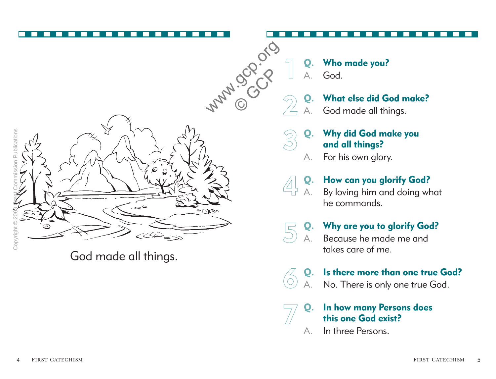

God made all things.

**Q. Who made you?** A. God.

# **Q. What else did God make?**

God made all things.

- **Q. Why did God make you and all things?**
- A. For his own glory.

# **Q. How can you glorify God?**

By loving him and doing what he commands.

# **Q. Why are you to glorify God?**

Because he made me and takes care of me.

#### **Q. Is there more than one true God?**

No. There is only one true God.

#### **Q. In how many Persons does this one God exist?**

A. In three Persons.